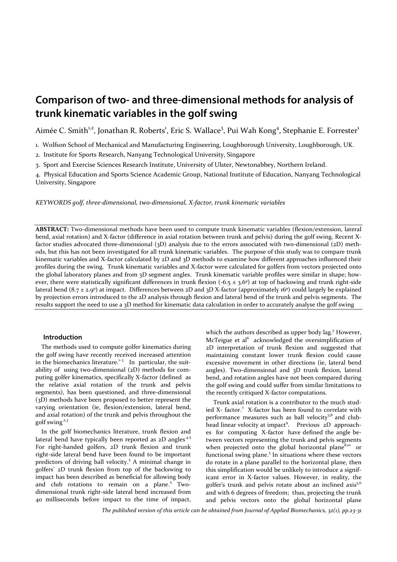# **Comparison of two- and three-dimensional methods for analysis of trunk kinematic variables in the golf swing**

Aimée C. Smith<sup>1,2</sup>, Jonathan R. Roberts<sup>1</sup>, Eric S. Wallace<sup>3</sup>, Pui Wah Kong<sup>4</sup>, Stephanie E. Forrester<sup>1</sup>

1. Wolfson School of Mechanical and Manufacturing Engineering, Loughborough University, Loughborough, UK.

2. Institute for Sports Research, Nanyang Technological University, Singapore

3. Sport and Exercise Sciences Research Institute, University of Ulster, Newtonabbey, Northern Ireland.

4. Physical Education and Sports Science Academic Group, National Institute of Education, Nanyang Technological University, Singapore

*KEYWORDS golf, three-dimensional, two-dimensional, X-factor, trunk kinematic variables*

**ABSTRACT:** Two-dimensional methods have been used to compute trunk kinematic variables (flexion/extension, lateral bend, axial rotation) and X-factor (difference in axial rotation between trunk and pelvis) during the golf swing. Recent Xfactor studies advocated three-dimensional (3D) analysis due to the errors associated with two-dimensional (2D) methods, but this has not been investigated for all trunk kinematic variables. The purpose of this study was to compare trunk kinematic variables and X-factor calculated by 2D and 3D methods to examine how different approaches influenced their profiles during the swing. Trunk kinematic variables and X-factor were calculated for golfers from vectors projected onto the global laboratory planes and from 3D segment angles. Trunk kinematic variable profiles were similar in shape; however, there were statistically significant differences in trunk flexion  $(-6.5 \pm 3.6^{\circ})$  at top of backswing and trunk right-side lateral bend  $(8.7 \pm 2.9^\circ)$  at impact. Differences between  $2D$  and  $3D$  X-factor (approximately 16<sup>°</sup>) could largely be explained by projection errors introduced to the 2D analysis through flexion and lateral bend of the trunk and pelvis segments. The results support the need to use a 3D method for kinematic data calculation in order to accurately analyse the golf swing

## **Introduction**

The methods used to compute golfer kinematics during the golf swing have recently received increased attention in the biomechanics literature. $1-3$  In particular, the suitability of using two-dimensional (2D) methods for computing golfer kinematics, specifically X-factor (defined as the relative axial rotation of the trunk and pelvis segments), has been questioned, and three-dimensional (3D) methods have been proposed to better represent the varying orientation (ie, flexion/extension, lateral bend, and axial rotation) of the trunk and pelvis throughout the golf swing $^{2,3}$ 

In the golf biomechanics literature, trunk flexion and lateral bend have typically been reported as 2D angles<sup>4,5</sup> For right-handed golfers, 2D trunk flexion and trunk right-side lateral bend have been found to be important predictors of driving ball velocity.5 A minimal change in golfers' 2D trunk flexion from top of the backswing to impact has been described as beneficial for allowing body and club rotations to remain on a plane. $5$  Twodimensional trunk right-side lateral bend increased from 40 milliseconds before impact to the time of impact, which the authors described as upper body lag.<sup>5</sup> However, McTeigue et al<sup>6</sup> acknowledged the oversimplification of 2D interpretation of trunk flexion and suggested that maintaining constant lower trunk flexion could cause excessive movement in other directions (ie, lateral bend angles). Two-dimensional and 3D trunk flexion, lateral bend, and rotation angles have not been compared during the golf swing and could suffer from similar limitations to the recently critiqued X-factor computations.

Trunk axial rotation is a contributor to the much studied X- factor.<sup>7</sup> X-factor has been found to correlate with performance measures such as ball velocity<sup>5,8</sup> and clubhead linear velocity at impact<sup>9</sup>. Previous 2D approaches for computing X-factor have defined the angle between vectors representing the trunk and pelvis segments when projected onto the global horizontal plane<sup>8,10</sup> or functional swing plane.<sup>3</sup> In situations where these vectors do rotate in a plane parallel to the horizontal plane, then this simplification would be unlikely to introduce a significant error in X-factor values. However, in reality, the golfer's trunk and pelvis rotate about an inclined  $axis^{5,6}$ and with 6 degrees of freedom; thus, projecting the trunk and pelvis vectors onto the global horizontal plane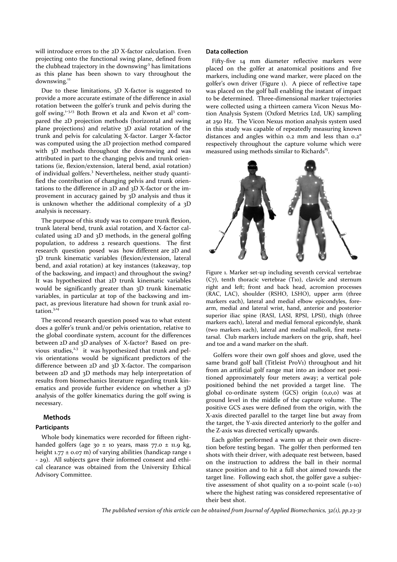will introduce errors to the 2D X-factor calculation. Even projecting onto the functional swing plane, defined from the clubhead trajectory in the downswing<sup>3</sup> has limitations as this plane has been shown to vary throughout the downswing.<sup>12</sup>

Due to these limitations, 3D X-factor is suggested to provide a more accurate estimate of the difference in axial rotation between the golfer's trunk and pelvis during the golf swing.<sup>1-3,13</sup> Both Brown et al2 and Kwon et al<sup>3</sup> compared the 2D projection methods (horizontal and swing plane projections) and relative 3D axial rotation of the trunk and pelvis for calculating X-factor. Larger X-factor was computed using the 2D projection method compared with 3D methods throughout the downswing and was attributed in part to the changing pelvis and trunk orientations (ie, flexion/extension, lateral bend, axial rotation) of individual golfers.<sup>3</sup> Nevertheless, neither study quantified the contribution of changing pelvis and trunk orientations to the difference in 2D and 3D X-factor or the improvement in accuracy gained by 3D analysis and thus it is unknown whether the additional complexity of a 3D analysis is necessary.

The purpose of this study was to compare trunk flexion, trunk lateral bend, trunk axial rotation, and X-factor calculated using 2D and 3D methods, in the general golfing population, to address 2 research questions. The first research question posed was how different are 2D and 3D trunk kinematic variables (flexion/extension, lateral bend, and axial rotation) at key instances (takeaway, top of the backswing, and impact) and throughout the swing? It was hypothesized that 2D trunk kinematic variables would be significantly greater than 3D trunk kinematic variables, in particular at top of the backswing and impact, as previous literature had shown for trunk axial rotation.<sup>3,14</sup>

The second research question posed was to what extent does a golfer's trunk and/or pelvis orientation, relative to the global coordinate system, account for the differences between 2D and 3D analyses of X-factor? Based on previous studies, $23$  it was hypothesized that trunk and pelvis orientations would be significant predictors of the difference between 2D and 3D X-factor. The comparison between 2D and 3D methods may help interpretation of results from biomechanics literature regarding trunk kinematics and provide further evidence on whether a 3D analysis of the golfer kinematics during the golf swing is necessary.

## **Methods**

## **Participants**

Whole body kinematics were recorded for fifteen righthanded golfers (age  $30 \pm 10$  years, mass  $77.0 \pm 11.9$  kg, height 1.77  $\pm$  0.07 m) of varying abilities (handicap range 1 - 29). All subjects gave their informed consent and ethical clearance was obtained from the University Ethical Advisory Committee.

#### **Data collection**

Fifty-five 14 mm diameter reflective markers were placed on the golfer at anatomical positions and five markers, including one wand marker, were placed on the golfer's own driver (Figure 1). A piece of reflective tape was placed on the golf ball enabling the instant of impact to be determined. Three-dimensional marker trajectories were collected using a thirteen camera Vicon Nexus Motion Analysis System (Oxford Metrics Ltd, UK) sampling at 250 Hz. The Vicon Nexus motion analysis system used in this study was capable of repeatedly measuring known distances and angles within 0.2 mm and less than 0.2° respectively throughout the capture volume which were measured using methods similar to Richards<sup>15</sup>.



Figure 1. Marker set-up including seventh cervical vertebrae (C7), tenth thoracic vertebrae (T10), clavicle and sternum right and left; front and back head, acromion processes (RAC, LAC), shoulder (RSHO, LSHO), upper arm (three markers each), lateral and medial elbow epicondyles, forearm, medial and lateral wrist, hand, anterior and posterior superior iliac spine (RASI, LASI, RPSI, LPSI), thigh (three markers each), lateral and medial femoral epicondyle, shank (two markers each), lateral and medial malleoli, first metatarsal. Club markers include markers on the grip, shaft, heel and toe and a wand marker on the shaft.

Golfers wore their own golf shoes and glove, used the same brand golf ball (Titleist ProV1) throughout and hit from an artificial golf range mat into an indoor net positioned approximately four meters away; a vertical pole positioned behind the net provided a target line. The global co-ordinate system (GCS) origin (0,0,0) was at ground level in the middle of the capture volume. The positive GCS axes were defined from the origin, with the X-axis directed parallel to the target line but away from the target, the Y-axis directed anteriorly to the golfer and the Z-axis was directed vertically upwards.

Each golfer performed a warm up at their own discretion before testing began. The golfer then performed ten shots with their driver, with adequate rest between, based on the instruction to address the ball in their normal stance position and to hit a full shot aimed towards the target line. Following each shot, the golfer gave a subjective assessment of shot quality on a 10-point scale (1-10) where the highest rating was considered representative of their best shot.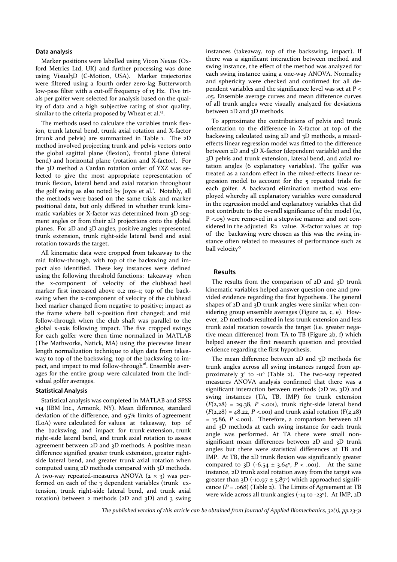#### **Data analysis**

Marker positions were labelled using Vicon Nexus (Oxford Metrics Ltd, UK) and further processing was done using Visual3D (C-Motion, USA). Marker trajectories were filtered using a fourth order zero-lag Butterworth low-pass filter with a cut-off frequency of 15 Hz. Five trials per golfer were selected for analysis based on the quality of data and a high subjective rating of shot quality, similar to the criteria proposed by Wheat et al.<sup>13</sup>.

The methods used to calculate the variables trunk flexion, trunk lateral bend, trunk axial rotation and X-factor (trunk and pelvis) are summarized in Table 1. The 2D method involved projecting trunk and pelvis vectors onto the global sagittal plane (flexion), frontal plane (lateral bend) and horizontal plane (rotation and X-factor). For the 3D method a Cardan rotation order of YXZ was selected to give the most appropriate representation of trunk flexion, lateral bend and axial rotation throughout the golf swing as also noted by Joyce et al.<sup>1</sup>. Notably, all the methods were based on the same trials and marker positional data, but only differed in whether trunk kinematic variables or X-factor was determined from 3D segment angles or from their 2D projections onto the global planes. For 2D and 3D angles, positive angles represented trunk extension, trunk right-side lateral bend and axial rotation towards the target.

All kinematic data were cropped from takeaway to the mid follow-through, with top of the backswing and impact also identified. These key instances were defined using the following threshold functions: takeaway when the x-component of velocity of the clubhead heel marker first increased above 0.2 ms–1; top of the backswing when the x-component of velocity of the clubhead heel marker changed from negative to positive; impact as the frame where ball x-position first changed; and mid follow-through when the club shaft was parallel to the global x-axis following impact. The five cropped swings for each golfer were then time normalized in MATLAB (The Mathworks, Natick, MA) using the piecewise linear length normalization technique to align data from takeaway to top of the backswing, top of the backswing to impact, and impact to mid follow-through<sup>16</sup>. Ensemble averages for the entire group were calculated from the individual golfer averages.

## **Statistical Analysis**

Statistical analysis was completed in MATLAB and SPSS v14 (IBM Inc., Armonk, NY). Mean difference, standard deviation of the difference, and 95% limits of agreement (LoA) were calculated for values at takeaway, top of the backswing, and impact for trunk extension, trunk right-side lateral bend, and trunk axial rotation to assess agreement between 2D and 3D methods. A positive mean difference signified greater trunk extension, greater rightside lateral bend, and greater trunk axial rotation when computed using 2D methods compared with 3D methods. A two-way repeated-measures ANOVA  $(2 \times 3)$  was performed on each of the 3 dependent variables (trunk extension, trunk right-side lateral bend, and trunk axial rotation) between 2 methods ( $2D$  and  $3D$ ) and 3 swing instances (takeaway, top of the backswing, impact). If there was a significant interaction between method and swing instance, the effect of the method was analyzed for each swing instance using a one-way ANOVA. Normality and sphericity were checked and confirmed for all dependent variables and the significance level was set at P < .05. Ensemble average curves and mean difference curves of all trunk angles were visually analyzed for deviations between 2D and 3D methods.

To approximate the contributions of pelvis and trunk orientation to the difference in X-factor at top of the backswing calculated using 2D and 3D methods, a mixedeffects linear regression model was fitted to the difference between 2D and 3D X-factor (dependent variable) and the 3D pelvis and trunk extension, lateral bend, and axial rotation angles (6 explanatory variables). The golfer was treated as a random effect in the mixed-effects linear regression model to account for the 5 repeated trials for each golfer. A backward elimination method was employed whereby all explanatory variables were considered in the regression model and explanatory variables that did not contribute to the overall significance of the model (ie, P <.05) were removed in a stepwise manner and not considered in the adjusted R2 value. X-factor values at top of the backswing were chosen as this was the swing instance often related to measures of performance such as ball velocity<sup>5</sup>

## **Results**

The results from the comparison of 2D and 3D trunk kinematic variables helped answer question one and provided evidence regarding the first hypothesis. The general shapes of 2D and 3D trunk angles were similar when considering group ensemble averages (Figure 2a, c, e). However, 2D methods resulted in less trunk extension and less trunk axial rotation towards the target (i.e. greater negative mean difference) from TA to TB (Figure 2b, f) which helped answer the first research question and provided evidence regarding the first hypothesis.

The mean difference between 2D and 3D methods for trunk angles across all swing instances ranged from approximately  $3^{\circ}$  to  $-11^{\circ}$  (Table 2). The two-way repeated measures ANOVA analysis confirmed that there was a significant interaction between methods (2D vs. 3D) and swing instances (TA, TB, IMP) for trunk extension  $(F(z, 28) = 29.38, P < .001)$ , trunk right-side lateral bend  $(F(z, 28) = 48.22, P < .001)$  and trunk axial rotation  $(F(z, 28))$ = 15.86, *P* <.001). Therefore, a comparison between 2D and 3D methods at each swing instance for each trunk angle was performed. At TA there were small nonsignificant mean differences between 2D and 3D trunk angles but there were statistical differences at TB and IMP. At TB, the 2D trunk flexion was significantly greater compared to 3D  $(-6.54 \pm 3.64^{\circ}, P < .001)$ . At the same instance, 2D trunk axial rotation away from the target was greater than  $3D$  (-10.97  $\pm$  5.87<sup>o</sup>) which approached significance (*P* = .068) (Table 2). The Limits of Agreement at TB were wide across all trunk angles (-14 to -23º). At IMP, 2D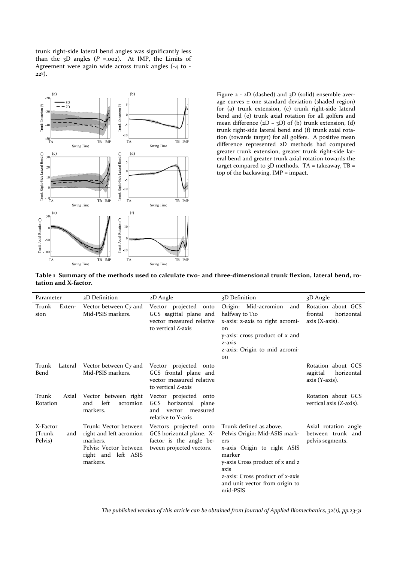trunk right-side lateral bend angles was significantly less than the 3D angles  $(P = .002)$ . At IMP, the Limits of Agreement were again wide across trunk angles (-4 to -  $22<sup>0</sup>$ .



Figure 2 - 2D (dashed) and 3D (solid) ensemble average curves  $\pm$  one standard deviation (shaded region) for (a) trunk extension, (c) trunk right-side lateral bend and (e) trunk axial rotation for all golfers and mean difference  $(2D - 3D)$  of (b) trunk extension, (d) trunk right-side lateral bend and (f) trunk axial rotation (towards target) for all golfers. A positive mean difference represented 2D methods had computed greater trunk extension, greater trunk right-side lateral bend and greater trunk axial rotation towards the target compared to  $3D$  methods. TA = takeaway, TB = top of the backswing, IMP = impact.

**Table 1 Summary of the methods used to calculate two- and three-dimensional trunk flexion, lateral bend, rotation and X-factor.**

| Parameter                             | 2D Definition                                                                                                             | 2D Angle                                                                                                  | 3D Definition                                                                                                                                                                                                                        | 3D Angle                                                         |
|---------------------------------------|---------------------------------------------------------------------------------------------------------------------------|-----------------------------------------------------------------------------------------------------------|--------------------------------------------------------------------------------------------------------------------------------------------------------------------------------------------------------------------------------------|------------------------------------------------------------------|
| Trunk<br>Exten-<br>sion               | Vector between C7 and<br>Mid-PSIS markers.                                                                                | Vector projected<br>onto<br>GCS sagittal plane and<br>vector measured relative<br>to vertical Z-axis      | Origin: Mid-acromion<br>and<br>halfway to T10<br>x-axis: z-axis to right acromi-<br><sub>on</sub><br>y-axis: cross product of x and<br>z-axis<br>z-axis: Origin to mid acromi-<br><sub>on</sub>                                      | Rotation about GCS<br>frontal<br>horizontal<br>$axis (X-axis).$  |
| Lateral<br>Trunk<br>Bend              | Vector between C7 and<br>Mid-PSIS markers.                                                                                | Vector projected onto<br>GCS frontal plane and<br>vector measured relative<br>to vertical Z-axis          |                                                                                                                                                                                                                                      | Rotation about GCS<br>sagittal<br>horizontal<br>$axis (Y-axis).$ |
| Trunk<br>Axial<br>Rotation            | Vector between right<br>left<br>acromion<br>and<br>markers.                                                               | Vector projected<br>onto<br>GCS<br>horizontal<br>plane<br>and<br>vector<br>measured<br>relative to Y-axis |                                                                                                                                                                                                                                      | Rotation about GCS<br>vertical axis (Z-axis).                    |
| X-Factor<br>(Trunk)<br>and<br>Pelvis) | Trunk: Vector between<br>right and left acromion<br>markers.<br>Pelvis: Vector between<br>right and left ASIS<br>markers. | Vectors projected onto<br>GCS horizontal plane. X-<br>factor is the angle be-<br>tween projected vectors. | Trunk defined as above.<br>Pelvis Origin: Mid-ASIS mark-<br>ers<br>x-axis Origin to right ASIS<br>marker<br>y-axis Cross product of x and z<br>axis<br>z-axis: Cross product of x-axis<br>and unit vector from origin to<br>mid-PSIS | Axial rotation angle<br>between trunk and<br>pelvis segments.    |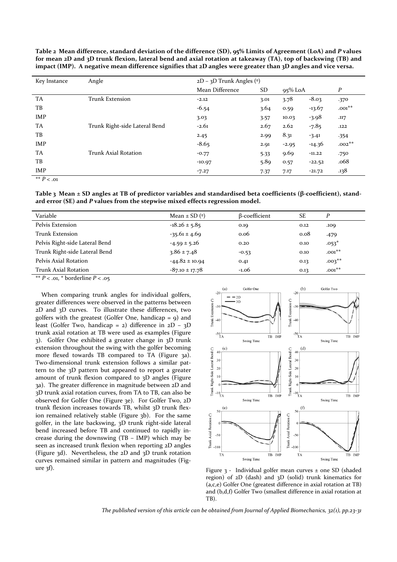| Table 2 Mean difference, standard deviation of the difference (SD), 95% Limits of Agreement (LoA) and P values |
|----------------------------------------------------------------------------------------------------------------|
| for mean 2D and 3D trunk flexion, lateral bend and axial rotation at takeaway (TA), top of backswing (TB) and  |
| impact (IMP). A negative mean difference signifies that 2D angles were greater than 3D angles and vice versa.  |

| Key Instance | Angle                         | $2D - 3D$ Trunk Angles ( $9$ ) |      |            |          |           |
|--------------|-------------------------------|--------------------------------|------|------------|----------|-----------|
|              |                               | Mean Difference                | SD   | $95\%$ LoA |          | P         |
| <b>TA</b>    | <b>Trunk Extension</b>        | $-2.12$                        | 3.01 | 3.78       | $-8.03$  | .370      |
| TB           |                               | $-6.54$                        | 3.64 | 0.59       | $-13.67$ | $.001**$  |
| <b>IMP</b>   |                               | 3.03                           | 3.57 | 10.03      | $-3.98$  | .117      |
| TA           | Trunk Right-side Lateral Bend | $-2.61$                        | 2.67 | 2.62       | $-7.85$  | .122      |
| TB           |                               | 2.45                           | 2.99 | 8.31       | $-3.41$  | $-354$    |
| IMP          |                               | $-8.65$                        | 2.91 | $-2.95$    | $-14.36$ | $.002***$ |
| TA           | <b>Trunk Axial Rotation</b>   | $-0.77$                        | 5.33 | 9.69       | $-11.22$ | .750      |
| TB           |                               | $-10.97$                       | 5.89 | 0.57       | $-22.52$ | .068      |
| <b>IMP</b>   |                               | $-7.27$                        | 7.37 | 7.17       | $-21.72$ | .138      |
| ** $P < .01$ |                               |                                |      |            |          |           |

**Table 3 Mean ± SD angles at TB of predictor variables and standardised beta coefficients (β-coefficient), standard error (SE) and** *P* **values from the stepwise mixed effects regression model.** 

| Variable                       | Mean $\pm$ SD ( $\circ$ ) | B-coefficient | <b>SE</b> | P         |
|--------------------------------|---------------------------|---------------|-----------|-----------|
| Pelvis Extension               | $-18.26 \pm 5.85$         | 0.19          | 0.12      | .109      |
| Trunk Extension                | $-35.61 \pm 4.69$         | 0.06          | 0.08      | .479      |
| Pelvis Right-side Lateral Bend | $-4.59 \pm 5.26$          | 0.20          | 0.10      | $.053*$   |
| Trunk Right-side Lateral Bend  | $3.86 \pm 7.48$           | $-0.53$       | 0.10      | $.001***$ |
| Pelvis Axial Rotation          | $-44.82 \pm 10.94$        | 0.41          | 0.13      | $.003**$  |
| Trunk Axial Rotation           | $-87.10 \pm 17.78$        | $-1.06$       | 0.13      | $.001***$ |

\*\* *P* < .01, \* borderline *P* < .05

When comparing trunk angles for individual golfers, greater differences were observed in the patterns between 2D and 3D curves. To illustrate these differences, two golfers with the greatest (Golfer One, handicap = 9) and least (Golfer Two, handicap = 2) difference in 2D – 3D trunk axial rotation at TB were used as examples (Figure 3). Golfer One exhibited a greater change in 3D trunk extension throughout the swing with the golfer becoming more flexed towards TB compared to TA (Figure 3a). Two-dimensional trunk extension follows a similar pattern to the 3D pattern but appeared to report a greater amount of trunk flexion compared to 3D angles (Figure 3a). The greater difference in magnitude between 2D and 3D trunk axial rotation curves, from TA to TB, can also be observed for Golfer One (Figure 3e). For Golfer Two, 2D trunk flexion increases towards TB, whilst 3D trunk flexion remained relatively stable (Figure 3b). For the same golfer, in the late backswing, 3D trunk right-side lateral bend increased before TB and continued to rapidly increase during the downswing (TB – IMP) which may be seen as increased trunk flexion when reporting 2D angles (Figure 3d). Nevertheless, the 2D and 3D trunk rotation curves remained similar in pattern and magnitudes (Figure 3f). The state of  $\frac{1}{2}$  - Individual golfer mean curves  $\pm$  one SD (shaded



region) of 2D (dash) and 3D (solid) trunk kinematics for (a,c,e) Golfer One (greatest difference in axial rotation at TB) and (b,d,f) Golfer Two (smallest difference in axial rotation at TB).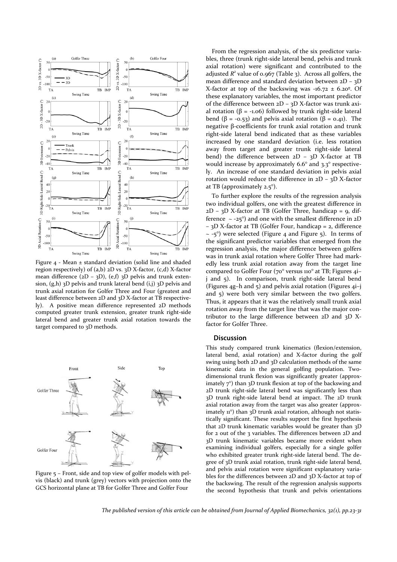

Figure  $4$  - Mean  $\pm$  standard deviation (solid line and shaded region respectively) of (a,b) 2D vs. 3D X-factor, (c,d) X-factor mean difference  $(2D - 3D)$ ,  $(e, f)$  3D pelvis and trunk extension, (g,h) 3D pelvis and trunk lateral bend (i,j) 3D pelvis and trunk axial rotation for Golfer Three and Four (greatest and least difference between 2D and 3D X-factor at TB respectively). A positive mean difference represented 2D methods computed greater trunk extension, greater trunk right-side lateral bend and greater trunk axial rotation towards the target compared to 3D methods.



Figure 5 – Front, side and top view of golfer models with pelvis (black) and trunk (grey) vectors with projection onto the GCS horizontal plane at TB for Golfer Three and Golfer Four

From the regression analysis, of the six predictor variables, three (trunk right-side lateral bend, pelvis and trunk axial rotation) were significant and contributed to the adjusted  $R^2$  value of 0.967 (Table 3). Across all golfers, the mean difference and standard deviation between 2D – 3D X-factor at top of the backswing was  $-16.72 \pm 6.20$ <sup>o</sup>. Of these explanatory variables, the most important predictor of the difference between 2D – 3D X-factor was trunk axial rotation (β = -1.06) followed by trunk right-side lateral bend (β = -0.53) and pelvis axial rotation (β = 0.41). The negative β-coefficients for trunk axial rotation and trunk right-side lateral bend indicated that as these variables increased by one standard deviation (i.e. less rotation away from target and greater trunk right-side lateral bend) the difference between 2D – 3D X-factor at TB would increase by approximately 6.6° and 3.3° respectively. An increase of one standard deviation in pelvis axial rotation would reduce the difference in 2D – 3D X-factor at TB (approximately 2.5°).

To further explore the results of the regression analysis two individual golfers, one with the greatest difference in  $2D - 3D$  X-factor at TB (Golfer Three, handicap = 9, difference  $\sim$  -25°) and one with the smallest difference in 2D – 3D X-factor at TB (Golfer Four, handicap = 2, difference  $\sim$  -5°) were selected (Figure 4 and Figure 5). In terms of the significant predictor variables that emerged from the regression analysis, the major difference between golfers was in trunk axial rotation where Golfer Three had markedly less trunk axial rotation away from the target line compared to Golfer Four (70° versus 110° at TB; Figures 4i– j and 5). In comparison, trunk right-side lateral bend (Figures 4g–h and  $5$ ) and pelvis axial rotation (Figures 4i–j and 5) were both very similar between the two golfers. Thus, it appears that it was the relatively small trunk axial rotation away from the target line that was the major contributor to the large difference between 2D and 3D Xfactor for Golfer Three.

## **Discussion**

This study compared trunk kinematics (flexion/extension, lateral bend, axial rotation) and X-factor during the golf swing using both 2D and 3D calculation methods of the same kinematic data in the general golfing population. Twodimensional trunk flexion was significantly greater (approximately 7°) than 3D trunk flexion at top of the backswing and 2D trunk right-side lateral bend was significantly less than 3D trunk right-side lateral bend at impact. The 2D trunk axial rotation away from the target was also greater (approximately 11°) than 3D trunk axial rotation, although not statistically significant. These results support the first hypothesis that 2D trunk kinematic variables would be greater than 3D for 2 out of the 3 variables. The differences between 2D and 3D trunk kinematic variables became more evident when examining individual golfers, especially for a single golfer who exhibited greater trunk right-side lateral bend. The degree of 3D trunk axial rotation, trunk right-side lateral bend, and pelvis axial rotation were significant explanatory variables for the differences between 2D and 3D X-factor at top of the backswing. The result of the regression analysis supports the second hypothesis that trunk and pelvis orientations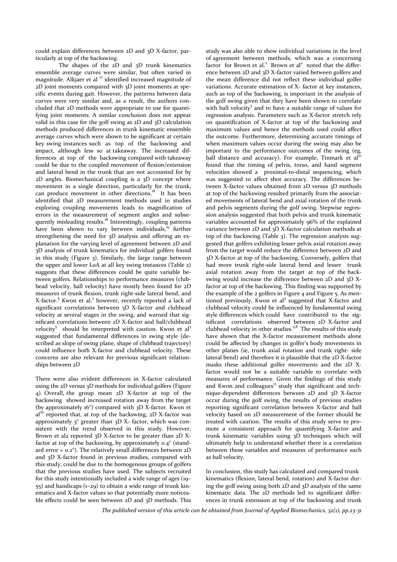could explain differences between 2D and 3D X-factor, particularly at top of the backswing.

The shapes of the 2D and 3D trunk kinematics ensemble average curves were similar, but often varied in magnitude. Alkjaer et al <sup>17</sup> identified increased magnitude of 2D joint moments compared with 3D joint moments at specific events during gait. However, the patterns between data curves were very similar and, as a result, the authors concluded that 2D methods were appropriate to use for quantifying joint moments. A similar conclusion does not appear valid in this case for the golf swing as 2D and 3D calculation methods produced differences in trunk kinematic ensemble average curves which were shown to be significant at certain key swing instances such as top of the backswing and impact, although less so at takeaway. The increased differences at top of the backswing compared with takeaway could be due to the coupled movement of flexion/extension and lateral bend in the trunk that are not accounted for by 2D angles. Biomechanical coupling is a 3D concept where movement in a single direction, particularly for the trunk, can produce movement in other directions.<sup>18</sup> It has been identified that 2D measurement methods used in studies exploring coupling movements leads to magnification of errors in the measurement of segment angles and subsequently misleading results.<sup>18</sup> Interestingly, coupling patterns have been shown to vary between individuals,<sup>19</sup> further strengthening the need for 3D analysis and offering an explanation for the varying level of agreement between 2D and 3D analysis of trunk kinematics for individual golfers found in this study (Figure 3). Similarly, the large range between the upper and lower LoA at all key swing instances (Table 2) suggests that these differences could be quite variable between golfers. Relationships to performance measures (clubhead velocity, ball velocity) have mostly been found for 2D measures of trunk flexion, trunk right-side lateral bend, and X-factor.<sup>5</sup> Kwon et al,<sup>3</sup> however, recently reported a lack of significant correlations between 3D X-factor and clubhead velocity at several stages in the swing, and warned that significant correlations between 2D X-factor and ball/clubhead velocity<sup>5</sup> should be interpreted with caution. Kwon et al<sup>3</sup> suggested that fundamental differences in swing style (described as slope of swing plane, shape of clubhead trajectory) could influence both X-factor and clubhead velocity. These concerns are also relevant for previous significant relationships between 2D

There were also evident differences in X-factor calculated using the 2D versus 3D methods for individual golfers (Figure 4). Overall, the group mean 2D X-factor at top of the backswing showed increased rotation away from the target (by approximately 16°) compared with 3D X-factor. Kwon et  $al^{20}$  reported that, at top of the backswing, 2D X-factor was approximately  $3^\circ$  greater than  $3D$  X- factor, which was consistent with the trend observed in this study. However, Brown et al2 reported 3D X-factor to be greater than 2D Xfactor at top of the backswing, by approximately 0.4° (standard error = 0.2°). The relatively small differences between 2D and 3D X-factor found in previous studies, compared with this study, could be due to the homogenous groups of golfers that the previous studies have used. The subjects recruited for this study intentionally included a wide range of ages (19– 55) and handicaps (1–29) to obtain a wide range of trunk kinematics and X-factor values so that potentially more noticeable effects could be seen between 2D and 3D methods. This

study was also able to show individual variations in the level of agreement between methods, which was a concerning factor for Brown et al.<sup>2</sup> Brown et al<sup>2</sup> noted that the difference between 2D and 3D X-factor varied between golfers and the mean difference did not reflect these individual golfer variations. Accurate estimation of X- factor at key instances, such as top of the backswing, is important in the analysis of the golf swing given that they have been shown to correlate with ball velocity<sup>5</sup> and to have a suitable range of values for regression analysis. Parameters such as X-factor stretch rely on quantification of X-factor at top of the backswing and maximum values and hence the methods used could affect the outcome. Furthermore, determining accurate timings of when maximum values occur during the swing may also be important to the performance outcomes of the swing (eg, ball distance and accuracy). For example, Tinmark et al<sup>2</sup> found that the timing of pelvis, torso, and hand segment velocities showed a proximal-to-distal sequencing, which was suggested to affect shot accuracy. The differences between X-factor values obtained from 2D versus 3D methods at top of the backswing resulted primarily from the associated movements of lateral bend and axial rotation of the trunk and pelvis segments during the golf swing. Stepwise regression analysis suggested that both pelvis and trunk kinematic variables accounted for approximately 96% of the explained variance between 2D and 3D X-factor calculation methods at top of the backswing (Table 3). The regression analysis suggested that golfers exhibiting lesser pelvis axial rotation away from the target would reduce the difference between 2D and 3D X-factor at top of the backswing. Conversely, golfers that had more trunk right-side lateral bend and lesser trunk axial rotation away from the target at top of the backswing would increase the difference between 2D and 3D Xfactor at top of the backswing. This finding was supported by the example of the  $2$  golfers in Figure  $4$  and Figure  $5$ . As mentioned previously, Kwon et al<sup>3</sup> suggested that X-factor and clubhead velocity could be influenced by fundamental swing style differences which could have contributed to the significant correlations observed between 2D X-factor and clubhead velocity in other studies.<sup>5,8</sup> The results of this study have shown that the X-factor measurement methods alone could be affected by changes in golfer's body movements in other planes (ie, trunk axial rotation and trunk right- side lateral bend) and therefore it is plausible that the 2D X-factor masks these additional golfer movements and the 2D Xfactor would not be a suitable variable to correlate with measures of performance. Given the findings of this study and Kwon and colleagues'3 study that significant and technique-dependent differences between 2D and 3D X-factor occur during the golf swing, the results of previous studies reporting significant correlation between X-factor and ball velocity based on 2D measurement of the former should be treated with caution. The results of this study serve to promote a consistent approach for quantifying X-factor and trunk kinematic variables using 3D techniques which will ultimately help to understand whether there is a correlation between these variables and measures of performance such as ball velocity.

In conclusion, this study has calculated and compared trunk kinematics (flexion, lateral bend, rotation) and X-factor during the golf swing using both 2D and 3D analysis of the same kinematic data. The 2D methods led to significant differences in trunk extension at top of the backswing and trunk